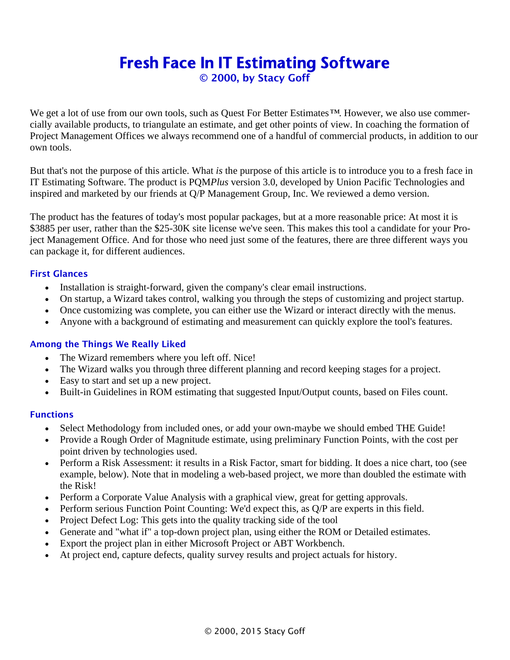# Fresh Face In IT Estimating Software

© 2000, by Stacy Goff

We get a lot of use from our own tools, such as Quest For Better Estimates*™*. However, we also use commercially available products, to triangulate an estimate, and get other points of view. In coaching the formation of Project Management Offices we always recommend one of a handful of commercial products, in addition to our own tools.

But that's not the purpose of this article. What *is* the purpose of this article is to introduce you to a fresh face in IT Estimating Software. The product is PQM*Plus* version 3.0, developed by Union Pacific Technologies and inspired and marketed by our friends at Q/P Management Group, Inc. We reviewed a demo version.

The product has the features of today's most popular packages, but at a more reasonable price: At most it is \$3885 per user, rather than the \$25-30K site license we've seen. This makes this tool a candidate for your Project Management Office. And for those who need just some of the features, there are three different ways you can package it, for different audiences.

## First Glances

- Installation is straight-forward, given the company's clear email instructions.
- On startup, a Wizard takes control, walking you through the steps of customizing and project startup.
- Once customizing was complete, you can either use the Wizard or interact directly with the menus.
- Anyone with a background of estimating and measurement can quickly explore the tool's features.

#### Among the Things We Really Liked

- The Wizard remembers where you left off. Nice!
- The Wizard walks you through three different planning and record keeping stages for a project.
- Easy to start and set up a new project.
- Built-in Guidelines in ROM estimating that suggested Input/Output counts, based on Files count.

#### **Functions**

- Select Methodology from included ones, or add your own-maybe we should embed THE Guide!
- Provide a Rough Order of Magnitude estimate, using preliminary Function Points, with the cost per point driven by technologies used.
- Perform a Risk Assessment: it results in a Risk Factor, smart for bidding. It does a nice chart, too (see example, below). Note that in modeling a web-based project, we more than doubled the estimate with the Risk!
- Perform a Corporate Value Analysis with a graphical view, great for getting approvals.
- Perform serious Function Point Counting: We'd expect this, as Q/P are experts in this field.
- Project Defect Log: This gets into the quality tracking side of the tool
- Generate and "what if" a top-down project plan, using either the ROM or Detailed estimates.
- Export the project plan in either Microsoft Project or ABT Workbench.
- At project end, capture defects, quality survey results and project actuals for history.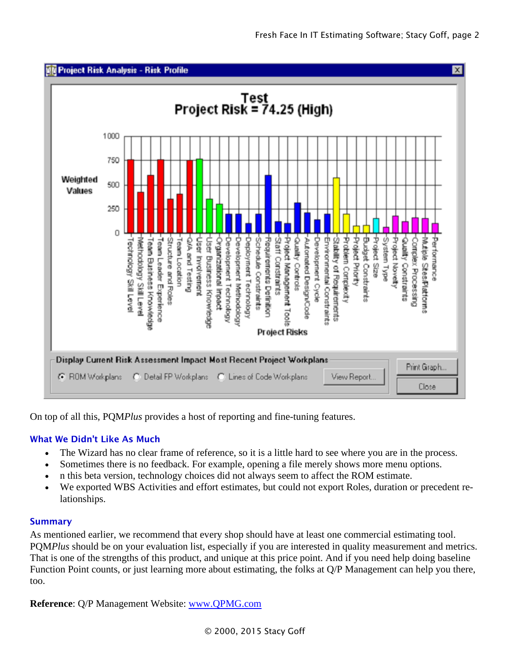





On top of all this, PQM*Plus* provides a host of reporting and fine-tuning features.

# What We Didn't Like As Much

- The Wizard has no clear frame of reference, so it is a little hard to see where you are in the process.
- Sometimes there is no feedback. For example, opening a file merely shows more menu options.
- n this beta version, technology choices did not always seem to affect the ROM estimate.
- We exported WBS Activities and effort estimates, but could not export Roles, duration or precedent relationships.

#### Summary

As mentioned earlier, we recommend that every shop should have at least one commercial estimating tool. PQM*Plus* should be on your evaluation list, especially if you are interested in quality measurement and metrics. That is one of the strengths of this product, and unique at this price point. And if you need help doing baseline Function Point counts, or just learning more about estimating, the folks at Q/P Management can help you there, too.

**Reference**: Q/P Management Website: [www.QPMG.com](http://www.qpmg.com/)